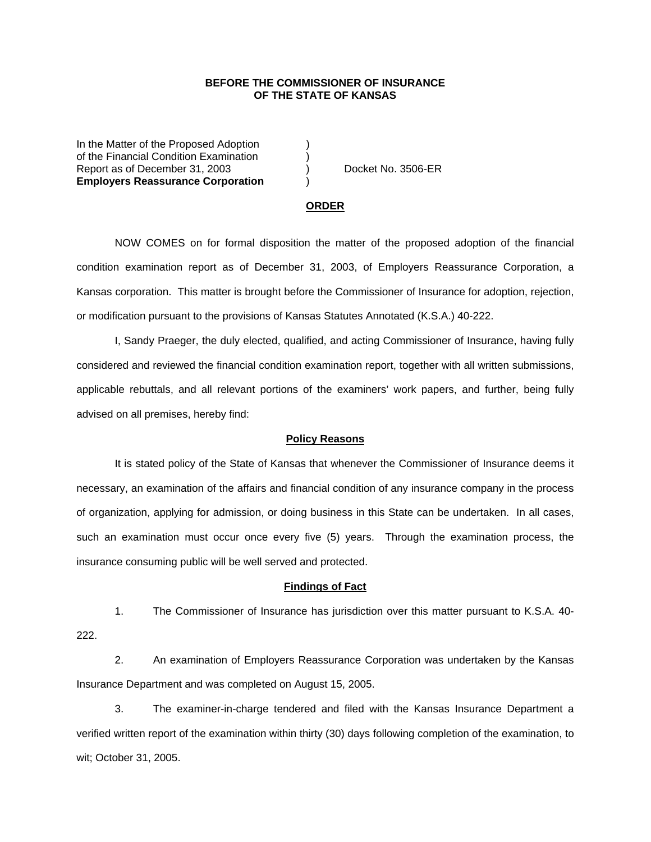## **BEFORE THE COMMISSIONER OF INSURANCE OF THE STATE OF KANSAS**

In the Matter of the Proposed Adoption of the Financial Condition Examination ) Report as of December 31, 2003 (a) Docket No. 3506-ER **Employers Reassurance Corporation** )

#### **ORDER**

 NOW COMES on for formal disposition the matter of the proposed adoption of the financial condition examination report as of December 31, 2003, of Employers Reassurance Corporation, a Kansas corporation. This matter is brought before the Commissioner of Insurance for adoption, rejection, or modification pursuant to the provisions of Kansas Statutes Annotated (K.S.A.) 40-222.

 I, Sandy Praeger, the duly elected, qualified, and acting Commissioner of Insurance, having fully considered and reviewed the financial condition examination report, together with all written submissions, applicable rebuttals, and all relevant portions of the examiners' work papers, and further, being fully advised on all premises, hereby find:

### **Policy Reasons**

 It is stated policy of the State of Kansas that whenever the Commissioner of Insurance deems it necessary, an examination of the affairs and financial condition of any insurance company in the process of organization, applying for admission, or doing business in this State can be undertaken. In all cases, such an examination must occur once every five (5) years. Through the examination process, the insurance consuming public will be well served and protected.

#### **Findings of Fact**

 1. The Commissioner of Insurance has jurisdiction over this matter pursuant to K.S.A. 40- 222.

 2. An examination of Employers Reassurance Corporation was undertaken by the Kansas Insurance Department and was completed on August 15, 2005.

 3. The examiner-in-charge tendered and filed with the Kansas Insurance Department a verified written report of the examination within thirty (30) days following completion of the examination, to wit; October 31, 2005.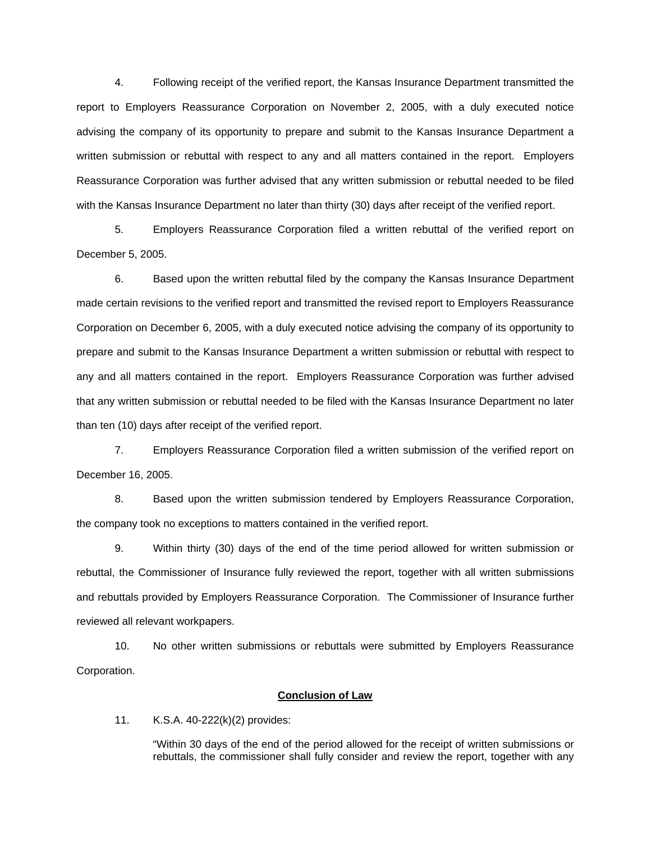4. Following receipt of the verified report, the Kansas Insurance Department transmitted the report to Employers Reassurance Corporation on November 2, 2005, with a duly executed notice advising the company of its opportunity to prepare and submit to the Kansas Insurance Department a written submission or rebuttal with respect to any and all matters contained in the report. Employers Reassurance Corporation was further advised that any written submission or rebuttal needed to be filed with the Kansas Insurance Department no later than thirty (30) days after receipt of the verified report.

 5. Employers Reassurance Corporation filed a written rebuttal of the verified report on December 5, 2005.

 6. Based upon the written rebuttal filed by the company the Kansas Insurance Department made certain revisions to the verified report and transmitted the revised report to Employers Reassurance Corporation on December 6, 2005, with a duly executed notice advising the company of its opportunity to prepare and submit to the Kansas Insurance Department a written submission or rebuttal with respect to any and all matters contained in the report. Employers Reassurance Corporation was further advised that any written submission or rebuttal needed to be filed with the Kansas Insurance Department no later than ten (10) days after receipt of the verified report.

 7. Employers Reassurance Corporation filed a written submission of the verified report on December 16, 2005.

 8. Based upon the written submission tendered by Employers Reassurance Corporation, the company took no exceptions to matters contained in the verified report.

 9. Within thirty (30) days of the end of the time period allowed for written submission or rebuttal, the Commissioner of Insurance fully reviewed the report, together with all written submissions and rebuttals provided by Employers Reassurance Corporation. The Commissioner of Insurance further reviewed all relevant workpapers.

 10. No other written submissions or rebuttals were submitted by Employers Reassurance Corporation.

## **Conclusion of Law**

11. K.S.A. 40-222(k)(2) provides:

"Within 30 days of the end of the period allowed for the receipt of written submissions or rebuttals, the commissioner shall fully consider and review the report, together with any